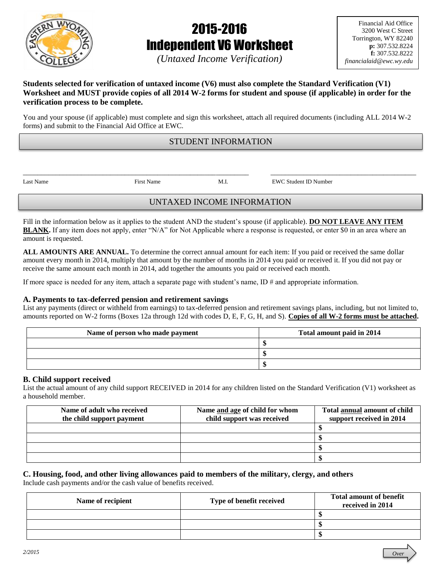

# 2015-2016 Independent V6 Worksheet

*(Untaxed Income Verification)*

*Over*

# **Students selected for verification of untaxed income (V6) must also complete the Standard Verification (V1) Worksheet and MUST provide copies of all 2014 W-2 forms for student and spouse (if applicable) in order for the verification process to be complete.**

You and your spouse (if applicable) must complete and sign this worksheet, attach all required documents (including ALL 2014 W-2 forms) and submit to the Financial Aid Office at EWC.

# STUDENT INFORMATION

\_\_\_\_\_\_\_\_\_\_\_\_\_\_\_\_\_\_\_\_\_\_\_\_\_\_\_\_\_\_\_\_\_\_\_\_\_\_\_\_\_\_\_\_\_\_\_\_\_\_\_\_\_\_\_\_\_\_\_\_\_\_ \_\_\_\_\_\_\_\_\_\_\_\_\_\_\_\_\_\_\_\_\_\_\_\_\_\_\_\_\_\_\_\_\_\_\_\_\_\_\_\_

Last Name First Name M.I. EWC Student ID Number

# UNTAXED INCOME INFORMATION

Fill in the information below as it applies to the student AND the student's spouse (if applicable). **DO NOT LEAVE ANY ITEM BLANK.** If any item does not apply, enter "N/A" for Not Applicable where a response is requested, or enter \$0 in an area where an amount is requested.

**ALL AMOUNTS ARE ANNUAL.** To determine the correct annual amount for each item: If you paid or received the same dollar amount every month in 2014, multiply that amount by the number of months in 2014 you paid or received it. If you did not pay or receive the same amount each month in 2014, add together the amounts you paid or received each month.

If more space is needed for any item, attach a separate page with student's name,  $ID \#$  and appropriate information.

# **A. Payments to tax-deferred pension and retirement savings**

List any payments (direct or withheld from earnings) to tax-deferred pension and retirement savings plans, including, but not limited to, amounts reported on W-2 forms (Boxes 12a through 12d with codes D, E, F, G, H, and S). **Copies of all W-2 forms must be attached.**

| Name of person who made payment | Total amount paid in 2014 |  |
|---------------------------------|---------------------------|--|
|                                 |                           |  |
|                                 |                           |  |
|                                 |                           |  |

## **B. Child support received**

List the actual amount of any child support RECEIVED in 2014 for any children listed on the Standard Verification (V1) worksheet as a household member.

| Name of adult who received | Name and age of child for whom | Total annual amount of child |
|----------------------------|--------------------------------|------------------------------|
| the child support payment  | child support was received     | support received in 2014     |
|                            |                                |                              |
|                            |                                |                              |
|                            |                                |                              |
|                            |                                |                              |

#### **C. Housing, food, and other living allowances paid to members of the military, clergy, and others** Include cash payments and/or the cash value of benefits received.

| Name of recipient | Type of benefit received | <b>Total amount of benefit</b><br>received in 2014 |
|-------------------|--------------------------|----------------------------------------------------|
|                   |                          |                                                    |
|                   |                          |                                                    |
|                   |                          |                                                    |